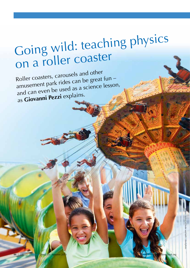# Going wild: teaching physics on a roller coaster

Roller coasters, carousels and other amusement park rides can be great fun – and can even be used as a science lesson, as **Giovanni Pezzi** explains.

*Images courtesy of Freder and kali9 / iStockphoto*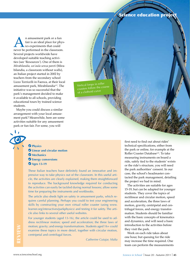## **Science education proje**

An amusement park or a fun<br>
fair is an ideal place for phys<br>
ics experiments that could<br>
never be performed in the classroom. fair is an ideal place for physics experiments that could Several projects worldwide have developed suitable teaching activities (see 'Resources'). One of them is *Mirabilandia, un'aula senza pareti* (Mirabilandia, a classroom without walls), an Italian project started in 2002 by teachers from the secondary school Liceo Torricelli in Faenza, at their local amusement park, Mirabilandiaw1. The initiative was so successful that the park's management decided to make it available to all schools, providing educational tours by trained science students.

Maybe you could discuss a similar arrangement with your local amusement park? Meanwhile, here are some activities suitable for any amusement park or fun fair. For some, you will

> **Physics Linear and circular motion Mechanics Energy conversions Ages 13-19**

These Italian teachers have definitely found an innovative and impressive way to take physics out of the classroom. In this useful article, the activities are clearly explained, making them straightforward to reproduce. The background knowledge required for conducting the activities can easily be tackled during normal lessons; allow some time for preparing the instruments and workbooks.

courtesy of Giovanni Pezzi and

Vertical loops in roller coasters follow the course of a clothoid curve

The article also sheds light on safety in amusement parks, which requires careful planning. Perhaps you could to test your engineering skills by constructing your own virtual roller coaster (using www. learner.org/interactives/parkphysics) and testing it for safety. The article also links to several other useful websites.

For younger students (aged 13-16), the article could be used to address rectilinear motion; speed and acceleration; the three laws of motion; gravity; and energy transformations. Students aged 16+ could examine these topics in more detail, together with circular motion, centripetal and centrifugal forces.

*Catherine Cutajar, Malta*

first need to find out about rides' technical specifications, either from the park or online, for example at the Roller Coaster Databasew2. To take measuring instruments on board a ride, safely tied to the students' wrists or the ride's structure, you will need the park authorities' consent. In our case, the school's headmaster contacted the park management, detailing the project we had in mind.

The activities are suitable for ages 15-19, but can be adapted for younger students. They cover the topics of rectilinear and circular motion, speed and acceleration, the three laws of motion, gravity, centripetal and centrifugal forces, and energy transformation. Students should be familiar with the basic concepts of kinematics and dynamics, and will need a basic introduction to the activities before they visit the park.

Work on each ride takes about one hour, but queuing for the ride may increase the time required. One team can perform the measurements

**REVIEW**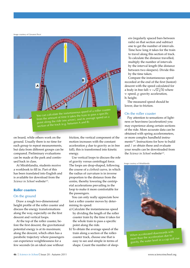*Image courtesy of Giovanni Pezzi*



on board, while others work on the ground. Usually there is no time for each group to repeat measurements, but data from different groups can be compared. Preliminary evaluations can be made at the park and continued back in class.

At Mirabilandia, students receive a workbook to fill in. Part of this has been translated into English and is available for download from the *Science in School* websitew3.

#### **Roller coasters**

#### On the ground

Draw a rough two-dimensional height profile of the roller coaster and discuss the energy transformations along the way, especially on the first descent and vertical loops.

At the top of the roller coaster, before the first descent, the gravitational potential energy is at its maximum; along the descent, which often has a parabolic trajectory where passengers can experience weightlessness for a few seconds (in an ideal case without

friction, the vertical component of the motion increases with the constant acceleration *g* due to gravity as in free fall), this is transformed into kinetic energy.

Use vertical loops to discuss the role of gravity versus centrifugal force. The loops are drop-shaped, following the course of a *clothoid* curve, in which the radius of curvature is in inverse proportion to the distance from the centre, thereby lowering the centripetal accelerations prevailing in the loop to make it more comfortable for the passengers.

You can only really appreciate how fast a roller coaster moves by determining its speed:

- a) Calculate the instantaneous speed by dividing the length of the roller coaster train by the time it takes for the whole train to pass a specific point along the ride.
- b) To obtain the average speed of the train along a section of the rollercoaster track, choose one that is easy to see and simple in terms of shape. Count the number of sleep-

ers (regularly spaced bars between rails) on that section and subtract one to get the number of intervals. Time how long it takes for the train to travel along this section of track. To calculate the distance travelled, multiply the number of intervals by the interval length (the distance between two sleepers). Divide this by the time taken.

Compare the instantaneous speed recorded at the end of the first (fastest) descent with the speed calculated for a body in free fall:  $v = \sqrt{2 g h}$  where v: speed, *g*: gravity acceleration, h: height.

The measured speed should be lower, due to friction.

#### On the roller coaster

Pay attention to sensations of lightness or heaviness (acceleration) you may experience along certain sections of the ride. More accurate data can be obtained with spring accelerometers, or more complex handheld instrumentsw4. Instructions for how to build and / or obtain these and evaluate your results can be downloaded from the *Science in School* websitew3.

*Image courtesy of Mirabilandia*



When accelerated downwards with more than the acceleration due to gravity, the water level in a cup will rise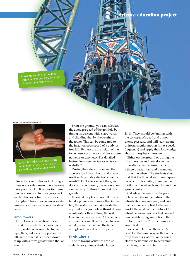

#### *Image courtesy of Giovanni Pezzi*



To test the effects of downward acceleration, you can also use a small ball tied to your wrist

Recently, smart phones including a three-axis accelerometer have become more popular. Applications for these phones allow you to draw graphs of acceleration over time or to measure tilt angles. These involve fewer safety issues since they can be kept inside a pocket.

#### **Drop towers**

Drop towers are vertical tracks up and down which the passengers travel, seated on a gondola. In one type, the gondola is dropped in free fall; in the other, it is pushed down or up with a force greater than that of gravity.

From the ground, you can calculate the average speed of the gondola by timing its descent with a stopwatch and dividing that by the height of the tower. This can be compared to the instantaneous speed of a body in free fall. To measure the height of the tower, use a protractor and basic trigonometry or geometry. For detailed instructions, see the *Science in School* websitew3.

During the ride, you can feel the acceleration in your body and measure it with portable electronic instruments<sup>w4</sup>. On towers where the gondola is pushed down, the acceleration can reach up to three times that due to gravity.

If you take a plastic cup full of water along, you can observe that in free fall, the water will remain inside the cup, but if the gondola is thrust downwards rather than falling, the water level in the cup will rise. Alternatively, you can tie a small rubber ball to your wrist (pierce the ball to attach the string) and place it on your palm.

#### **Ferris wheels**

The following activities are also suitable for younger students, aged 11-14. They should be familiar with the concepts of speed and atmospheric pressure, and will learn about uniform circular motion (time, speed, frequency) and apply their knowledge about atmospheric pressure.

Either on the ground or during the ride, measure and note down the time after a quarter turn, half a turn, a three-quarter turn and a complete turn of the wheel. The students should find that the time taken for each quarter of a turn is similar, therefore the motion of the wheel is regular and the speed constant.

Calculate the length of the gondola's path (from the radius of the wheel), its average speed, and, as a maths exercise applied to the real world, the angle at the centre of the wheel between two bars that connect two neighbouring gondolas to the centre (divide 360° by the number of gondolas).

You can determine the wheel's height in the same way as that of the drop tower (see above) or by using electronic barometers to determine the change in atmospheric pres-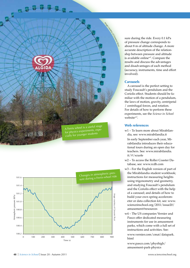



sure during the ride. Every 0.1 kPa of pressure change corresponds to about 8 m of altitude change. A more accurate description of the relationship between pressure and altitude is available onlinew5. Compare the results and discuss the advantages and disadvantages of each method (accuracy, instruments, time and effort involved).

#### **Carousels**

A carousel is the perfect setting to study Foucault's pendulum and the Coriolis effect. Students should be familiar with the motion of a pendulum, the laws of motion, gravity, centripetal / centrifugal forces, and rotation. For details of how to perform these experiments, see the *Science in School* websitew3.

#### **Web references**

w1 – To learn more about Mirabilandia, see: www.mirabilandia.it

In early September each year, Mirabilandia introduces their educational tours during an open day for teachers. See: www.mirabilandia. it/#/scuole

- w2 To access the Roller Coaster Database, see: www.rcdb.com
- w3 For the English version of part of the Mirabilandia student workbook; instructions for measuring heights using trigonometry and geometry, and studying Foucault's pendulum and the Coriolis effect with the help of a carousel; and details of how to build your own spring accelerometer or data collection kit, see: www. scienceinschool.org/2011/issue20/ amusement#resources
- w4 The US companies Vernier and Pasco offer dedicated measuring instruments for use in amusement parks, which come with a full set of instructions and activities. See:

www.vernier.com/cmat/datapark. html

www.pasco.com/physhigh/ amusement-park-physics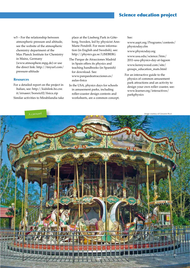### Science education project

w5 – For the relationship between atmospheric pressure and altitude, see the website of the atmospheric chemistry department of the Max Planck Institute for Chemistry in Mainz, Germany (www.atmosphere.mpg.de) or use the direct link: http://tinyurl.com/ pressure-altitude

#### **Resources**

For a detailed report on the project in Italian, see: http://kidslink.bo.cnr. it/irrsaeer/borsric02/fisica.zip Similar activities to Mirabilandia take place at the Liseberg Park in Göteborg, Sweden, led by physicist Ann-Marie Pendrill. For more information (in English and Swedish), see: http://physics.gu.se/LISEBERG

- The Parque de Atracciones Madrid in Spain offers its physics and teaching handbooks (in Spanish) for download. See: www.parquedeatracciones.es/ aulas-fisica
- In the USA, physics days for schools in amusement parks, including roller-coaster design contests and worksheets, are a common concept.

See:

www.aapt.org/Programs/contests/ physicsday.cfm

www.physicsday.org

www.usu.edu/science/htm/ 2011-usu-physics-day-at-lagoon

www.kennywood.com/site/ groups\_education\_mats.html

For an interactive guide to the physics of common amusement park attractions and an activity to design your own roller coaster, see: www.learner.org/interactives/ parkphysics